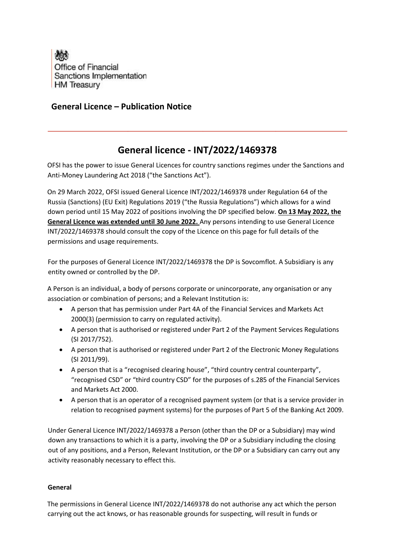

## **General Licence – Publication Notice**

## **General licence - INT/2022/1469378**

OFSI has the power to issue General Licences for country sanctions regimes under the Sanctions and Anti-Money Laundering Act 2018 ("the Sanctions Act").

On 29 March 2022, OFSI issued General Licence INT/2022/1469378 under Regulation 64 of the Russia (Sanctions) (EU Exit) Regulations 2019 ("the Russia Regulations") which allows for a wind down period until 15 May 2022 of positions involving the DP specified below. **On 13 May 2022, the General Licence was extended until 30 June 2022.** Any persons intending to use General Licence INT/2022/1469378 should consult the copy of the Licence on this page for full details of the permissions and usage requirements.

For the purposes of General Licence INT/2022/1469378 the DP is Sovcomflot. A Subsidiary is any entity owned or controlled by the DP.

A Person is an individual, a body of persons corporate or unincorporate, any organisation or any association or combination of persons; and a Relevant Institution is:

- A person that has permission under Part 4A of the Financial Services and Markets Act 2000(3) (permission to carry on regulated activity).
- A person that is authorised or registered under Part 2 of the Payment Services Regulations (SI 2017/752).
- A person that is authorised or registered under Part 2 of the Electronic Money Regulations (SI 2011/99).
- A person that is a "recognised clearing house", "third country central counterparty", "recognised CSD" or "third country CSD" for the purposes of s.285 of the Financial Services and Markets Act 2000.
- A person that is an operator of a recognised payment system (or that is a service provider in relation to recognised payment systems) for the purposes of Part 5 of the Banking Act 2009.

Under General Licence INT/2022/1469378 a Person (other than the DP or a Subsidiary) may wind down any transactions to which it is a party, involving the DP or a Subsidiary including the closing out of any positions, and a Person, Relevant Institution, or the DP or a Subsidiary can carry out any activity reasonably necessary to effect this.

## **General**

The permissions in General Licence INT/2022/1469378 do not authorise any act which the person carrying out the act knows, or has reasonable grounds for suspecting, will result in funds or